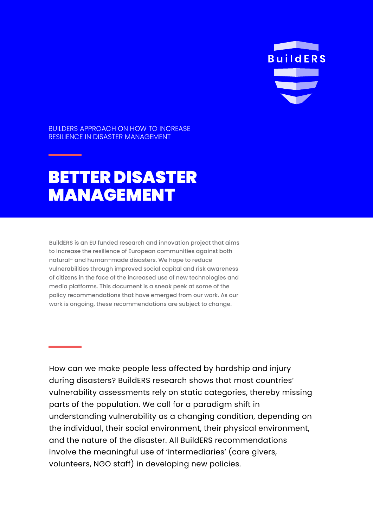

BUILDERS APPROACH ON HOW TO INCREASE RESILIENCE IN DISASTER MANAGEMENT

# BETTER DISASTER MANAGEMENT

BuildERS is an EU funded research and innovation project that aims to increase the resilience of European communities against both natural- and human-made disasters. We hope to reduce vulnerabilities through improved social capital and risk awareness of citizens in the face of the increased use of new technologies and media platforms. This document is a sneak peek at some of the policy recommendations that have emerged from our work. As our work is ongoing, these recommendations are subject to change.

How can we make people less affected by hardship and injury during disasters? BuildERS research shows that most countries' vulnerability assessments rely on static categories, thereby missing parts of the population. We call for a paradigm shift in understanding vulnerability as a changing condition, depending on the individual, their social environment, their physical environment, and the nature of the disaster. All BuildERS recommendations involve the meaningful use of 'intermediaries' (care givers, volunteers, NGO staff) in developing new policies.